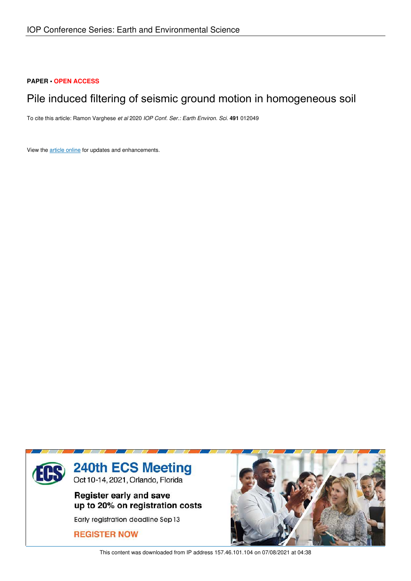## **PAPER • OPEN ACCESS**

# Pile induced filtering of seismic ground motion in homogeneous soil

To cite this article: Ramon Varghese *et al* 2020 *IOP Conf. Ser.: Earth Environ. Sci.* **491** 012049

View the article online for updates and enhancements.



This content was downloaded from IP address 157.46.101.104 on 07/08/2021 at 04:38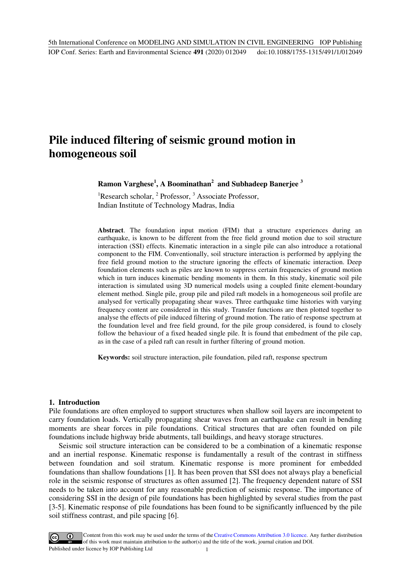# **Pile induced filtering of seismic ground motion in homogeneous soil**

## **Ramon Varghese<sup>1</sup> , A Boominathan<sup>2</sup> and Subhadeep Banerjee <sup>3</sup>**

<sup>1</sup>Research scholar,  $2^2$  Professor,  $3^3$  Associate Professor, Indian Institute of Technology Madras, India

**Abstract**. The foundation input motion (FIM) that a structure experiences during an earthquake, is known to be different from the free field ground motion due to soil structure interaction (SSI) effects. Kinematic interaction in a single pile can also introduce a rotational component to the FIM. Conventionally, soil structure interaction is performed by applying the free field ground motion to the structure ignoring the effects of kinematic interaction. Deep foundation elements such as piles are known to suppress certain frequencies of ground motion which in turn induces kinematic bending moments in them. In this study, kinematic soil pile interaction is simulated using 3D numerical models using a coupled finite element-boundary element method. Single pile, group pile and piled raft models in a homogeneous soil profile are analysed for vertically propagating shear waves. Three earthquake time histories with varying frequency content are considered in this study. Transfer functions are then plotted together to analyse the effects of pile induced filtering of ground motion. The ratio of response spectrum at the foundation level and free field ground, for the pile group considered, is found to closely follow the behaviour of a fixed headed single pile. It is found that embedment of the pile cap, as in the case of a piled raft can result in further filtering of ground motion.

**Keywords:** soil structure interaction, pile foundation, piled raft, response spectrum

#### **1. Introduction**

Pile foundations are often employed to support structures when shallow soil layers are incompetent to carry foundation loads. Vertically propagating shear waves from an earthquake can result in bending moments are shear forces in pile foundations. Critical structures that are often founded on pile foundations include highway bride abutments, tall buildings, and heavy storage structures.

Seismic soil structure interaction can be considered to be a combination of a kinematic response and an inertial response. Kinematic response is fundamentally a result of the contrast in stiffness between foundation and soil stratum. Kinematic response is more prominent for embedded foundations than shallow foundations [1]. It has been proven that SSI does not always play a beneficial role in the seismic response of structures as often assumed [2]. The frequency dependent nature of SSI needs to be taken into account for any reasonable prediction of seismic response. The importance of considering SSI in the design of pile foundations has been highlighted by several studies from the past [3-5]. Kinematic response of pile foundations has been found to be significantly influenced by the pile soil stiffness contrast, and pile spacing [6].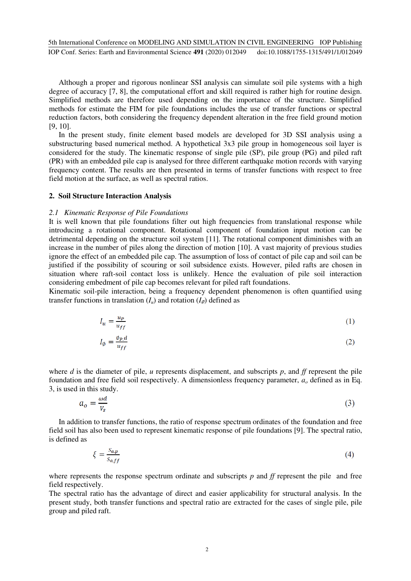Although a proper and rigorous nonlinear SSI analysis can simulate soil pile systems with a high degree of accuracy [7, 8], the computational effort and skill required is rather high for routine design. Simplified methods are therefore used depending on the importance of the structure. Simplified methods for estimate the FIM for pile foundations includes the use of transfer functions or spectral reduction factors, both considering the frequency dependent alteration in the free field ground motion [9, 10].

In the present study, finite element based models are developed for 3D SSI analysis using a substructuring based numerical method. A hypothetical 3x3 pile group in homogeneous soil layer is considered for the study. The kinematic response of single pile (SP), pile group (PG) and piled raft (PR) with an embedded pile cap is analysed for three different earthquake motion records with varying frequency content. The results are then presented in terms of transfer functions with respect to free field motion at the surface, as well as spectral ratios.

#### **2. Soil Structure Interaction Analysis**

#### *2.1 Kinematic Response of Pile Foundations*

It is well known that pile foundations filter out high frequencies from translational response while introducing a rotational component. Rotational component of foundation input motion can be detrimental depending on the structure soil system [11]. The rotational component diminishes with an increase in the number of piles along the direction of motion [10]. A vast majority of previous studies ignore the effect of an embedded pile cap. The assumption of loss of contact of pile cap and soil can be justified if the possibility of scouring or soil subsidence exists. However, piled rafts are chosen in situation where raft-soil contact loss is unlikely. Hence the evaluation of pile soil interaction considering embedment of pile cap becomes relevant for piled raft foundations.

Kinematic soil-pile interaction, being a frequency dependent phenomenon is often quantified using transfer functions in translation  $(I_u)$  and rotation  $(I_{\emptyset})$  defined as

$$
I_u = \frac{u_p}{u_{ff}}\tag{1}
$$

$$
I_{\emptyset} = \frac{\phi_{P}.d}{u_{ff}} \tag{2}
$$

where *d* is the diameter of pile, *u* represents displacement, and subscripts *p*, and *ff* represent the pile foundation and free field soil respectively. A dimensionless frequency parameter, *a<sup>o</sup>* defined as in Eq. 3, is used in this study.

$$
a_o = \frac{\omega d}{v_s} \tag{3}
$$

In addition to transfer functions, the ratio of response spectrum ordinates of the foundation and free field soil has also been used to represent kinematic response of pile foundations [9]. The spectral ratio, is defined as

$$
\xi = \frac{S_{a,p}}{S_{a,ff}}\tag{4}
$$

where represents the response spectrum ordinate and subscripts *p* and *ff* represent the pile and free field respectively.

The spectral ratio has the advantage of direct and easier applicability for structural analysis. In the present study, both transfer functions and spectral ratio are extracted for the cases of single pile, pile group and piled raft.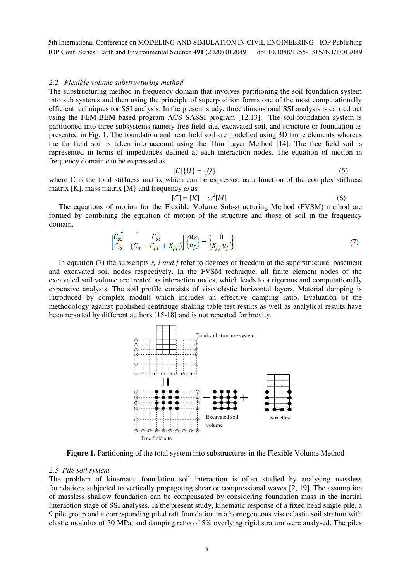#### *2.2 Flexible volume substructuring method*

The substructuring method in frequency domain that involves partitioning the soil foundation system into sub systems and then using the principle of superposition forms one of the most computationally efficient techniques for SSI analysis. In the present study, three dimensional SSI analysis is carried out using the FEM-BEM based program ACS SASSI program [12,13]. The soil-foundation system is partitioned into three subsystems namely free field site, excavated soil, and structure or foundation as presented in Fig. 1. The foundation and near field soil are modelled using 3D finite elements whereas the far field soil is taken into account using the Thin Layer Method [14]. The free field soil is represented in terms of impedances defined at each interaction nodes. The equation of motion in frequency domain can be expressed as

$$
[C]\{U\} = \{Q\} \tag{5}
$$

where C is the total stiffness matrix which can be expressed as a function of the complex stiffness matrix [K], mass matrix [M] and frequency  $\omega$  as

$$
[C] = [K] - \omega^2 [M] \tag{6}
$$

The equations of motion for the Flexible Volume Sub-structuring Method (FVSM) method are formed by combining the equation of motion of the structure and those of soil in the frequency domain.

$$
\begin{bmatrix} C_{ss} & C_{si} \\ C_{is} & (C_{ii} - C_{ff} + X_{ff}) \end{bmatrix} \begin{Bmatrix} u_s \\ u_f \end{Bmatrix} = \begin{Bmatrix} 0 \\ X_{ff}u_f' \end{Bmatrix}
$$
 (7)

In equation (7) the subscripts *s, i and f* refer to degrees of freedom at the superstructure, basement and excavated soil nodes respectively. In the FVSM technique, all finite element nodes of the excavated soil volume are treated as interaction nodes, which leads to a rigorous and computationally expensive analysis. The soil profile consists of viscoelastic horizontal layers. Material damping is introduced by complex moduli which includes an effective damping ratio. Evaluation of the methodology against published centrifuge shaking table test results as well as analytical results have been reported by different authors [15-18] and is not repeated for brevity.



**Figure 1.** Partitioning of the total system into substructures in the Flexible Volume Method

#### *2.3 Pile soil system*

The problem of kinematic foundation soil interaction is often studied by analysing massless foundations subjected to vertically propagating shear or compressional waves [2, 19]. The assumption of massless shallow foundation can be compensated by considering foundation mass in the inertial interaction stage of SSI analyses. In the present study, kinematic response of a fixed head single pile, a 9 pile group and a corresponding piled raft foundation in a homogeneous viscoelastic soil stratum with elastic modulus of 30 MPa, and damping ratio of 5% overlying rigid stratum were analysed. The piles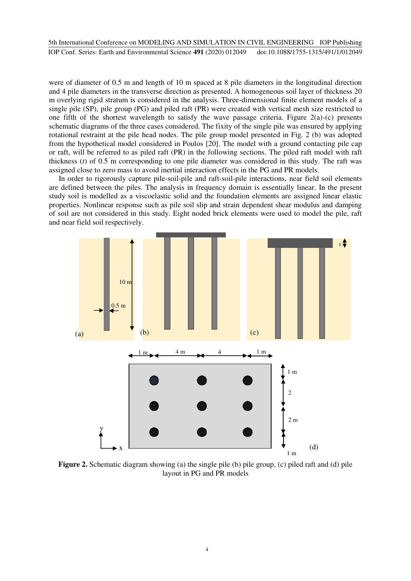were of diameter of 0.5 m and length of 10 m spaced at 8 pile diameters in the longitudinal direction and 4 pile diameters in the transverse direction as presented. A homogeneous soil layer of thickness 20 m overlying rigid stratum is considered in the analysis. Three-dimensional finite element models of a single pile (SP), pile group (PG) and piled raft (PR) were created with vertical mesh size restricted to one fifth of the shortest wavelength to satisfy the wave passage criteria. Figure  $2(a)-(c)$  presents schematic diagrams of the three cases considered. The fixity of the single pile was ensured by applying rotational restraint at the pile head nodes. The pile group model presented in Fig. 2 (b) was adopted from the hypothetical model considered in Poulos [20]. The model with a ground contacting pile cap or raft, will be referred to as piled raft (PR) in the following sections. The piled raft model with raft thickness (*t*) of 0.5 m corresponding to one pile diameter was considered in this study. The raft was assigned close to zero mass to avoid inertial interaction effects in the PG and PR models.

In order to rigorously capture pile-soil-pile and raft-soil-pile interactions, near field soil elements are defined between the piles. The analysis in frequency domain is essentially linear. In the present study soil is modelled as a viscoelastic solid and the foundation elements are assigned linear elastic properties. Nonlinear response such as pile soil slip and strain dependent shear modulus and damping of soil are not considered in this study. Eight noded brick elements were used to model the pile, raft and near field soil respectively.



**Figure 2.** Schematic diagram showing (a) the single pile (b) pile group, (c) piled raft and (d) pile layout in PG and PR models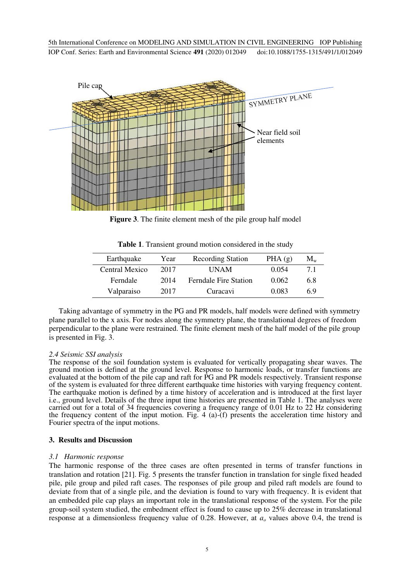

**Figure 3**. The finite element mesh of the pile group half model

| Earthquake     | Year | <b>Recording Station</b>     | PHA $(g)$ | $M_{w}$ |
|----------------|------|------------------------------|-----------|---------|
| Central Mexico | 2017 | UNAM                         | 0.054     | 71      |
| Ferndale       | 2014 | <b>Ferndale Fire Station</b> | 0.062     | 6.8     |
| Valparaiso     | 2017 | Curacavi                     | 0.083     | 69      |

**Table 1**. Transient ground motion considered in the study

Taking advantage of symmetry in the PG and PR models, half models were defined with symmetry plane parallel to the x axis. For nodes along the symmetry plane, the translational degrees of freedom perpendicular to the plane were restrained. The finite element mesh of the half model of the pile group is presented in Fig. 3.

#### *2.4 Seismic SSI analysis*

The response of the soil foundation system is evaluated for vertically propagating shear waves. The ground motion is defined at the ground level. Response to harmonic loads, or transfer functions are evaluated at the bottom of the pile cap and raft for PG and PR models respectively. Transient response of the system is evaluated for three different earthquake time histories with varying frequency content. The earthquake motion is defined by a time history of acceleration and is introduced at the first layer i.e., ground level. Details of the three input time histories are presented in Table 1. The analyses were carried out for a total of 34 frequencies covering a frequency range of 0.01 Hz to 22 Hz considering the frequency content of the input motion. Fig. 4 (a)-(f) presents the acceleration time history and Fourier spectra of the input motions.

## **3. Results and Discussion**

## *3.1 Harmonic response*

The harmonic response of the three cases are often presented in terms of transfer functions in translation and rotation [21]. Fig. 5 presents the transfer function in translation for single fixed headed pile, pile group and piled raft cases. The responses of pile group and piled raft models are found to deviate from that of a single pile, and the deviation is found to vary with frequency. It is evident that an embedded pile cap plays an important role in the translational response of the system. For the pile group-soil system studied, the embedment effect is found to cause up to 25% decrease in translational response at a dimensionless frequency value of 0.28. However, at *a<sup>o</sup>* values above 0.4, the trend is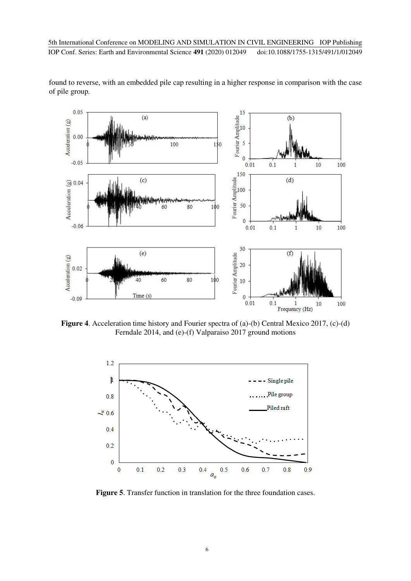

found to reverse, with an embedded pile cap resulting in a higher response in comparison with the case of pile group.

**Figure 4**. Acceleration time history and Fourier spectra of (a)-(b) Central Mexico 2017, (c)-(d) Ferndale 2014, and (e)-(f) Valparaiso 2017 ground motions



**Figure 5**. Transfer function in translation for the three foundation cases.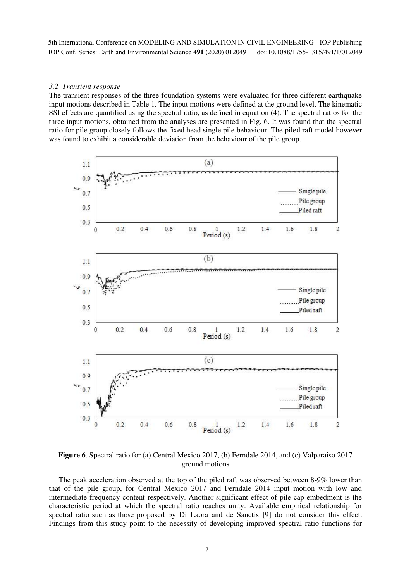#### *3.2 Transient response*

The transient responses of the three foundation systems were evaluated for three different earthquake input motions described in Table 1. The input motions were defined at the ground level. The kinematic SSI effects are quantified using the spectral ratio, as defined in equation (4). The spectral ratios for the three input motions, obtained from the analyses are presented in Fig. 6. It was found that the spectral ratio for pile group closely follows the fixed head single pile behaviour. The piled raft model however was found to exhibit a considerable deviation from the behaviour of the pile group.



**Figure 6**. Spectral ratio for (a) Central Mexico 2017, (b) Ferndale 2014, and (c) Valparaiso 2017 ground motions

The peak acceleration observed at the top of the piled raft was observed between 8-9% lower than that of the pile group, for Central Mexico 2017 and Ferndale 2014 input motion with low and intermediate frequency content respectively. Another significant effect of pile cap embedment is the characteristic period at which the spectral ratio reaches unity. Available empirical relationship for spectral ratio such as those proposed by Di Laora and de Sanctis [9] do not consider this effect. Findings from this study point to the necessity of developing improved spectral ratio functions for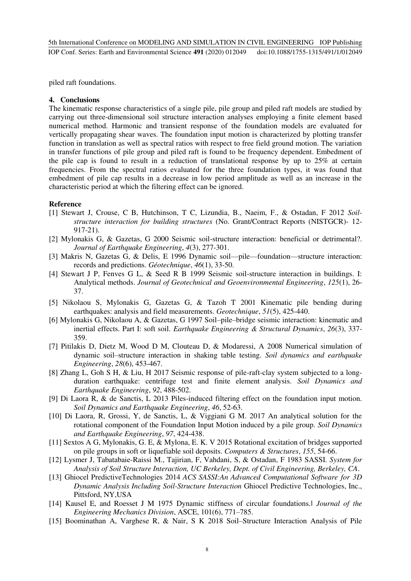piled raft foundations.

## **4. Conclusions**

The kinematic response characteristics of a single pile, pile group and piled raft models are studied by carrying out three-dimensional soil structure interaction analyses employing a finite element based numerical method. Harmonic and transient response of the foundation models are evaluated for vertically propagating shear waves. The foundation input motion is characterized by plotting transfer function in translation as well as spectral ratios with respect to free field ground motion. The variation in transfer functions of pile group and piled raft is found to be frequency dependent. Embedment of the pile cap is found to result in a reduction of translational response by up to 25% at certain frequencies. From the spectral ratios evaluated for the three foundation types, it was found that embedment of pile cap results in a decrease in low period amplitude as well as an increase in the characteristic period at which the filtering effect can be ignored.

## **Reference**

- [1] Stewart J, Crouse, C B, Hutchinson, T C, Lizundia, B., Naeim, F., & Ostadan, F 2012 *Soilstructure interaction for building structures* (No. Grant/Contract Reports (NISTGCR)- 12- 917-21).
- [2] Mylonakis G, & Gazetas, G 2000 Seismic soil-structure interaction: beneficial or detrimental?. *Journal of Earthquake Engineering*, *4*(3), 277-301.
- [3] Makris N, Gazetas G, & Delis, E 1996 Dynamic soil—pile—foundation—structure interaction: records and predictions. *Géotechnique*, *46*(1), 33-50.
- [4] Stewart J P, Fenves G L, & Seed R B 1999 Seismic soil-structure interaction in buildings. I: Analytical methods. *Journal of Geotechnical and Geoenvironmental Engineering*, *125*(1), 26- 37.
- [5] Nikolaou S, Mylonakis G, Gazetas G, & Tazoh T 2001 Kinematic pile bending during earthquakes: analysis and field measurements. *Geotechnique*, *51*(5), 425-440.
- [6] Mylonakis G, Nikolaou A, & Gazetas, G 1997 Soil–pile–bridge seismic interaction: kinematic and inertial effects. Part I: soft soil. *Earthquake Engineering & Structural Dynamics*, *26*(3), 337- 359.
- [7] Pitilakis D, Dietz M, Wood D M, Clouteau D, & Modaressi, A 2008 Numerical simulation of dynamic soil–structure interaction in shaking table testing. *Soil dynamics and earthquake Engineering*, *28*(6), 453-467.
- [8] Zhang L, Goh S H, & Liu, H 2017 Seismic response of pile-raft-clay system subjected to a longduration earthquake: centrifuge test and finite element analysis. *Soil Dynamics and Earthquake Engineering*, *92*, 488-502.
- [9] Di Laora R, & de Sanctis, L 2013 Piles-induced filtering effect on the foundation input motion. *Soil Dynamics and Earthquake Engineering*, *46*, 52-63.
- [10] Di Laora, R, Grossi, Y, de Sanctis, L, & Viggiani G M. 2017 An analytical solution for the rotational component of the Foundation Input Motion induced by a pile group. *Soil Dynamics and Earthquake Engineering*, *97*, 424-438.
- [11] Sextos A G, Mylonakis, G. E, & Mylona, E. K. V 2015 Rotational excitation of bridges supported on pile groups in soft or liquefiable soil deposits. *Computers & Structures*, *155*, 54-66.
- [12] Lysmer J, Tabatabaie-Raissi M., Tajirian, F, Vahdani, S, & Ostadan, F 1983 SASSI. *System for Analysis of Soil Structure Interaction, UC Berkeley, Dept. of Civil Engineering, Berkeley, CA*.
- [13] Ghiocel PredictiveTechnologies 2014 *ACS SASSI:An Advanced Computational Software for 3D Dynamic Analysis Including Soil-Structure Interaction* Ghiocel Predictive Technologies, Inc., Pittsford, NY,USA
- [14] Kausel E, and Roesset J M 1975 Dynamic stiffness of circular foundations.‖ *Journal of the Engineering Mechanics Division*, ASCE, 101(6), 771–785.
- [15] Boominathan A, Varghese R, & Nair, S K 2018 Soil–Structure Interaction Analysis of Pile